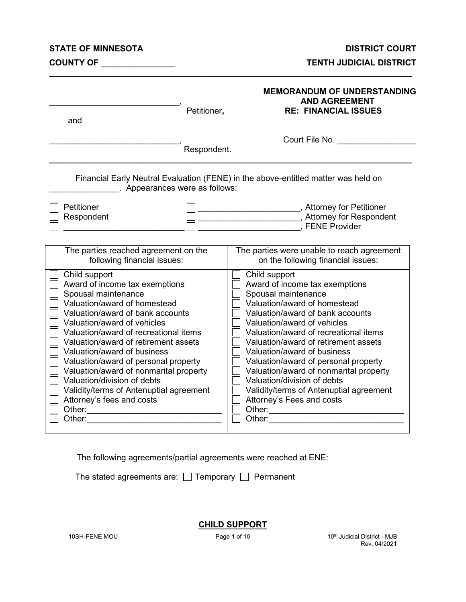#### **STATE OF MINNESOTA DISTRICT COURT**

#### **TENTH JUDICIAL DISTRICT**

| and                                                                                                                                                                                                                                                                                                                                                                                                                                                                                | Petitioner, | <b>MEMORANDUM OF UNDERSTANDING</b><br><b>AND AGREEMENT</b><br><b>RE: FINANCIAL ISSUES</b>                                                                                                                                                                                                                                                                                                                                                                                          |
|------------------------------------------------------------------------------------------------------------------------------------------------------------------------------------------------------------------------------------------------------------------------------------------------------------------------------------------------------------------------------------------------------------------------------------------------------------------------------------|-------------|------------------------------------------------------------------------------------------------------------------------------------------------------------------------------------------------------------------------------------------------------------------------------------------------------------------------------------------------------------------------------------------------------------------------------------------------------------------------------------|
|                                                                                                                                                                                                                                                                                                                                                                                                                                                                                    | Respondent. | Court File No. _________________                                                                                                                                                                                                                                                                                                                                                                                                                                                   |
| . Appearances were as follows:                                                                                                                                                                                                                                                                                                                                                                                                                                                     |             | Financial Early Neutral Evaluation (FENE) in the above-entitled matter was held on                                                                                                                                                                                                                                                                                                                                                                                                 |
| Petitioner<br>Respondent                                                                                                                                                                                                                                                                                                                                                                                                                                                           |             | _________________, Attorney for Petitioner<br>Attorney for Respondent (3) Attorney for Respondent<br>FENE Provider                                                                                                                                                                                                                                                                                                                                                                 |
| The parties reached agreement on the<br>following financial issues:                                                                                                                                                                                                                                                                                                                                                                                                                |             | The parties were unable to reach agreement<br>on the following financial issues:                                                                                                                                                                                                                                                                                                                                                                                                   |
| Child support<br>Award of income tax exemptions<br>Spousal maintenance<br>Valuation/award of homestead<br>Valuation/award of bank accounts<br>Valuation/award of vehicles<br>Valuation/award of recreational items<br>Valuation/award of retirement assets<br>Valuation/award of business<br>Valuation/award of personal property<br>Valuation/award of nonmarital property<br>Valuation/division of debts<br>Validity/terms of Antenuptial agreement<br>Attorney's fees and costs |             | Child support<br>Award of income tax exemptions<br>Spousal maintenance<br>Valuation/award of homestead<br>Valuation/award of bank accounts<br>Valuation/award of vehicles<br>Valuation/award of recreational items<br>Valuation/award of retirement assets<br>Valuation/award of business<br>Valuation/award of personal property<br>Valuation/award of nonmarital property<br>Valuation/division of debts<br>Validity/terms of Antenuptial agreement<br>Attorney's Fees and costs |

**\_\_\_\_\_\_\_\_\_\_\_\_\_\_\_\_\_\_\_\_\_\_\_\_\_\_\_\_\_\_\_\_\_\_\_\_\_\_\_\_\_\_\_\_\_\_\_\_\_\_\_\_\_\_\_\_\_\_\_\_\_\_\_\_\_\_\_\_\_\_\_\_\_\_\_\_\_\_**

The following agreements/partial agreements were reached at ENE:

The stated agreements are:  $\Box$  Temporary  $\Box$  Permanent

**CHILD SUPPORT**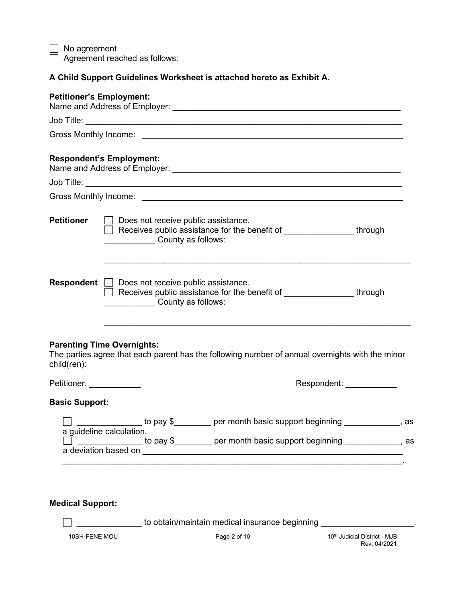No agreement Agreement reached as follows:

**A Child Support Guidelines Worksheet is attached hereto as Exhibit A.**

| <b>Petitioner's Employment:</b> |                                                                                                                                                             |  |
|---------------------------------|-------------------------------------------------------------------------------------------------------------------------------------------------------------|--|
|                                 |                                                                                                                                                             |  |
|                                 |                                                                                                                                                             |  |
|                                 | <b>Respondent's Employment:</b>                                                                                                                             |  |
|                                 |                                                                                                                                                             |  |
|                                 |                                                                                                                                                             |  |
| <b>Petitioner</b>               | $\Box$ Does not receive public assistance.<br>Receives public assistance for the benefit of ________________through<br><b>County as follows:</b>            |  |
|                                 | <b>Respondent</b> Does not receive public assistance.<br>Receives public assistance for the benefit of ________________through<br><b>County as follows:</b> |  |
| child(ren):                     | <b>Parenting Time Overnights:</b><br>The parties agree that each parent has the following number of annual overnights with the minor                        |  |
| Petitioner: ___________         | Respondent: New York 1999                                                                                                                                   |  |
| <b>Basic Support:</b>           |                                                                                                                                                             |  |
|                                 | ________________ to pay \$_________ per month basic support beginning ____________, as<br>a quideline calculation.                                          |  |
|                                 | $\Box$ ______________ to pay \$________ per month basic support beginning ________________, as                                                              |  |
|                                 |                                                                                                                                                             |  |

# **Medical Support:**

 $\Box$  \_\_\_\_\_\_\_\_\_\_\_\_\_\_\_\_\_\_\_\_ to obtain/maintain medical insurance beginning \_\_\_

10SH-FENE MOU **Page 2 of 10** 10th Multicial District - MJB Rev. 04/2021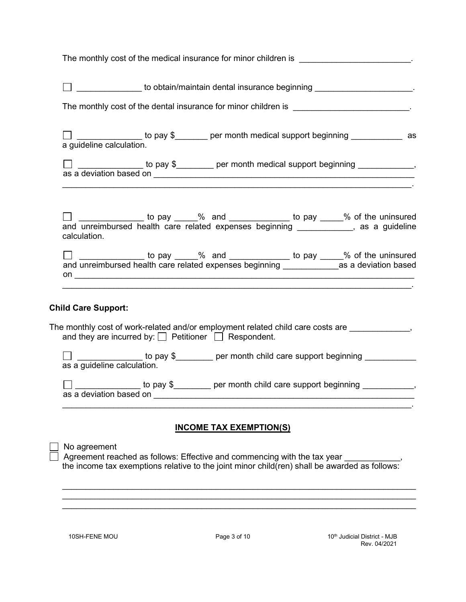| The monthly cost of the medical insurance for minor children is ________________________.                                                                                                                                                                                                                                                                    |
|--------------------------------------------------------------------------------------------------------------------------------------------------------------------------------------------------------------------------------------------------------------------------------------------------------------------------------------------------------------|
| □ <u>□ □ □ □ □ □ □ □ to obtain/maintain dental insurance beginning</u> _ <u>□ □ □ □ □ □ □ □ □ □ □ □ □ □</u> □                                                                                                                                                                                                                                                |
| The monthly cost of the dental insurance for minor children is ________________________.                                                                                                                                                                                                                                                                     |
| □ <u>__</u> _________ to pay \$_______ per month medical support beginning ___________ as<br>a guideline calculation.                                                                                                                                                                                                                                        |
| <u> 1989 - Johann Barn, mars ann an t-Amhain Aonaich an t-Aonaich an t-Aonaich ann an t-Aonaich ann an t-Aonaich</u><br><u>. And the second control of the second control of the second control of the second control of the second control of the second control of the second control of the second control of the second control of the second contro</u> |
| □ _____________ to pay ____% and ___________ to pay ____% of the uninsured and unreimbursed health care related expenses beginning ___________, as a guideline<br>calculation.                                                                                                                                                                               |
|                                                                                                                                                                                                                                                                                                                                                              |
| <b>Child Care Support:</b>                                                                                                                                                                                                                                                                                                                                   |
| The monthly cost of work-related and/or employment related child care costs are _____________,<br>and they are incurred by: $\Box$ Petitioner $\Box$ Respondent.                                                                                                                                                                                             |
| _____________ to pay \$________ per month child care support beginning __________<br>as a guideline calculation.                                                                                                                                                                                                                                             |
| per month child care support beginning<br>to pay \$<br>as a deviation based on the contract of the contract of the contract of the contract of the contract of the contract of the contract of the contract of the contract of the contract of the contract of the contract of the co                                                                        |
| <b>INCOME TAX EXEMPTION(S)</b>                                                                                                                                                                                                                                                                                                                               |
| No agreement<br>Agreement reached as follows: Effective and commencing with the tax year<br>the income tax exemptions relative to the joint minor child(ren) shall be awarded as follows:                                                                                                                                                                    |

\_\_\_\_\_\_\_\_\_\_\_\_\_\_\_\_\_\_\_\_\_\_\_\_\_\_\_\_\_\_\_\_\_\_\_\_\_\_\_\_\_\_\_\_\_\_\_\_\_\_\_\_\_\_\_\_\_\_\_\_\_\_\_\_\_\_\_\_\_\_\_\_\_\_\_\_ \_\_\_\_\_\_\_\_\_\_\_\_\_\_\_\_\_\_\_\_\_\_\_\_\_\_\_\_\_\_\_\_\_\_\_\_\_\_\_\_\_\_\_\_\_\_\_\_\_\_\_\_\_\_\_\_\_\_\_\_\_\_\_\_\_\_\_\_\_\_\_\_\_\_\_\_ \_\_\_\_\_\_\_\_\_\_\_\_\_\_\_\_\_\_\_\_\_\_\_\_\_\_\_\_\_\_\_\_\_\_\_\_\_\_\_\_\_\_\_\_\_\_\_\_\_\_\_\_\_\_\_\_\_\_\_\_\_\_\_\_\_\_\_\_\_\_\_\_\_\_\_\_

10SH-FENE MOU **Page 3 of 10** 10<sup>th</sup> Judicial District - MJB Rev. 04/2021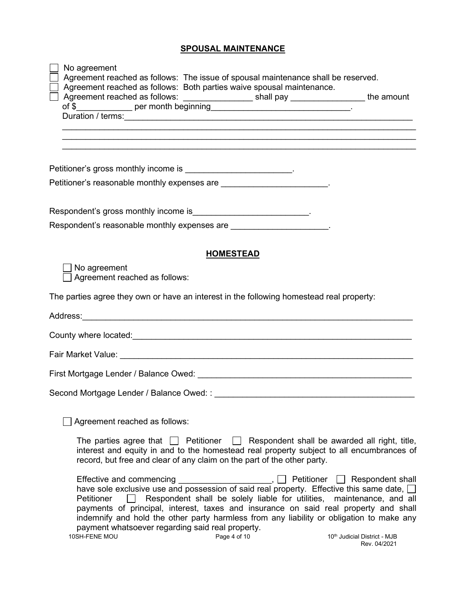#### **SPOUSAL MAINTENANCE**

| No agreement<br>Agreement reached as follows: The issue of spousal maintenance shall be reserved.<br>Agreement reached as follows: Both parties waive spousal maintenance.                                                                                                                                                                                                                                                                                                                    |                                                                             |
|-----------------------------------------------------------------------------------------------------------------------------------------------------------------------------------------------------------------------------------------------------------------------------------------------------------------------------------------------------------------------------------------------------------------------------------------------------------------------------------------------|-----------------------------------------------------------------------------|
| Agreement reached as follows: ____________________shall pay _________________the amount                                                                                                                                                                                                                                                                                                                                                                                                       |                                                                             |
|                                                                                                                                                                                                                                                                                                                                                                                                                                                                                               |                                                                             |
| ,我们也不能在这里的时候,我们也不能在这里的时候,我们也不能在这里的时候,我们也不能会在这里的时候,我们也不能会在这里的时候,我们也不能会在这里的时候,我们也不能                                                                                                                                                                                                                                                                                                                                                                                                             |                                                                             |
| ,我们也不会有什么。""我们的人,我们也不会有什么?""我们的人,我们也不会有什么?""我们的人,我们也不会有什么?""我们的人,我们也不会有什么?""我们的人                                                                                                                                                                                                                                                                                                                                                                                                              |                                                                             |
| Petitioner's gross monthly income is _________________________.                                                                                                                                                                                                                                                                                                                                                                                                                               |                                                                             |
| Petitioner's reasonable monthly expenses are ________________________.                                                                                                                                                                                                                                                                                                                                                                                                                        |                                                                             |
|                                                                                                                                                                                                                                                                                                                                                                                                                                                                                               |                                                                             |
| Respondent's gross monthly income is___________________________.                                                                                                                                                                                                                                                                                                                                                                                                                              |                                                                             |
| Respondent's reasonable monthly expenses are ______________________.                                                                                                                                                                                                                                                                                                                                                                                                                          |                                                                             |
|                                                                                                                                                                                                                                                                                                                                                                                                                                                                                               |                                                                             |
| <b>HOMESTEAD</b>                                                                                                                                                                                                                                                                                                                                                                                                                                                                              |                                                                             |
| No agreement<br>Agreement reached as follows:                                                                                                                                                                                                                                                                                                                                                                                                                                                 |                                                                             |
| The parties agree they own or have an interest in the following homestead real property:                                                                                                                                                                                                                                                                                                                                                                                                      |                                                                             |
|                                                                                                                                                                                                                                                                                                                                                                                                                                                                                               |                                                                             |
|                                                                                                                                                                                                                                                                                                                                                                                                                                                                                               |                                                                             |
|                                                                                                                                                                                                                                                                                                                                                                                                                                                                                               |                                                                             |
|                                                                                                                                                                                                                                                                                                                                                                                                                                                                                               |                                                                             |
|                                                                                                                                                                                                                                                                                                                                                                                                                                                                                               |                                                                             |
|                                                                                                                                                                                                                                                                                                                                                                                                                                                                                               |                                                                             |
| Agreement reached as follows:                                                                                                                                                                                                                                                                                                                                                                                                                                                                 |                                                                             |
| The parties agree that $\Box$ Petitioner $\Box$ Respondent shall be awarded all right, title,<br>interest and equity in and to the homestead real property subject to all encumbrances of<br>record, but free and clear of any claim on the part of the other party.                                                                                                                                                                                                                          |                                                                             |
| Effective and commencing<br>have sole exclusive use and possession of said real property. Effective this same date, $\square$<br>Respondent shall be solely liable for utilities, maintenance, and all<br>Petitioner<br>payments of principal, interest, taxes and insurance on said real property and shall<br>indemnify and hold the other party harmless from any liability or obligation to make any<br>payment whatsoever regarding said real property.<br>Page 4 of 10<br>10SH-FENE MOU | Petitioner Respondent shall<br>10th Judicial District - MJB<br>Rev. 04/2021 |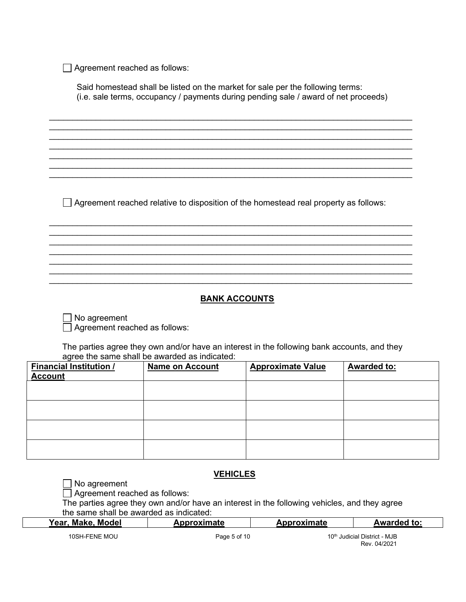Agreement reached as follows:

Said homestead shall be listed on the market for sale per the following terms: (i.e. sale terms, occupancy / payments during pending sale / award of net proceeds)

\_\_\_\_\_\_\_\_\_\_\_\_\_\_\_\_\_\_\_\_\_\_\_\_\_\_\_\_\_\_\_\_\_\_\_\_\_\_\_\_\_\_\_\_\_\_\_\_\_\_\_\_\_\_\_\_\_\_\_\_\_\_\_\_\_\_\_\_\_\_\_\_\_\_\_\_\_\_  $\_$  , and the set of the set of the set of the set of the set of the set of the set of the set of the set of the set of the set of the set of the set of the set of the set of the set of the set of the set of the set of th  $\_$  , and the set of the set of the set of the set of the set of the set of the set of the set of the set of the set of the set of the set of the set of the set of the set of the set of the set of the set of the set of th \_\_\_\_\_\_\_\_\_\_\_\_\_\_\_\_\_\_\_\_\_\_\_\_\_\_\_\_\_\_\_\_\_\_\_\_\_\_\_\_\_\_\_\_\_\_\_\_\_\_\_\_\_\_\_\_\_\_\_\_\_\_\_\_\_\_\_\_\_\_\_\_\_\_\_\_\_\_  $\_$  , and the set of the set of the set of the set of the set of the set of the set of the set of the set of the set of the set of the set of the set of the set of the set of the set of the set of the set of the set of th  $\_$  , and the set of the set of the set of the set of the set of the set of the set of the set of the set of the set of the set of the set of the set of the set of the set of the set of the set of the set of the set of th \_\_\_\_\_\_\_\_\_\_\_\_\_\_\_\_\_\_\_\_\_\_\_\_\_\_\_\_\_\_\_\_\_\_\_\_\_\_\_\_\_\_\_\_\_\_\_\_\_\_\_\_\_\_\_\_\_\_\_\_\_\_\_\_\_\_\_\_\_\_\_\_\_\_\_\_\_\_

 $\Box$  Agreement reached relative to disposition of the homestead real property as follows:

\_\_\_\_\_\_\_\_\_\_\_\_\_\_\_\_\_\_\_\_\_\_\_\_\_\_\_\_\_\_\_\_\_\_\_\_\_\_\_\_\_\_\_\_\_\_\_\_\_\_\_\_\_\_\_\_\_\_\_\_\_\_\_\_\_\_\_\_\_\_\_\_\_\_\_\_\_\_ \_\_\_\_\_\_\_\_\_\_\_\_\_\_\_\_\_\_\_\_\_\_\_\_\_\_\_\_\_\_\_\_\_\_\_\_\_\_\_\_\_\_\_\_\_\_\_\_\_\_\_\_\_\_\_\_\_\_\_\_\_\_\_\_\_\_\_\_\_\_\_\_\_\_\_\_\_\_  $\_$  , and the set of the set of the set of the set of the set of the set of the set of the set of the set of the set of the set of the set of the set of the set of the set of the set of the set of the set of the set of th  $\_$  , and the set of the set of the set of the set of the set of the set of the set of the set of the set of the set of the set of the set of the set of the set of the set of the set of the set of the set of the set of th \_\_\_\_\_\_\_\_\_\_\_\_\_\_\_\_\_\_\_\_\_\_\_\_\_\_\_\_\_\_\_\_\_\_\_\_\_\_\_\_\_\_\_\_\_\_\_\_\_\_\_\_\_\_\_\_\_\_\_\_\_\_\_\_\_\_\_\_\_\_\_\_\_\_\_\_\_\_  $\_$  , and the set of the set of the set of the set of the set of the set of the set of the set of the set of the set of the set of the set of the set of the set of the set of the set of the set of the set of the set of th  $\_$  , and the set of the set of the set of the set of the set of the set of the set of the set of the set of the set of the set of the set of the set of the set of the set of the set of the set of the set of the set of th

# **BANK ACCOUNTS**

No agreement Agreement reached as follows:

The parties agree they own and/or have an interest in the following bank accounts, and they agree the same shall be awarded as indicated:

| <b>Financial Institution /</b><br><b>Account</b> | <b>Name on Account</b> | <b>Approximate Value</b> | <b>Awarded to:</b> |
|--------------------------------------------------|------------------------|--------------------------|--------------------|
|                                                  |                        |                          |                    |
|                                                  |                        |                          |                    |
|                                                  |                        |                          |                    |
|                                                  |                        |                          |                    |

### **VEHICLES**

No agreement

Agreement reached as follows:

The parties agree they own and/or have an interest in the following vehicles, and they agree the same shall be awarded as indicated:

| Year, Make, Model | Approximate  | <b>Approximate</b> | <b>Awarded to:</b>                       |  |
|-------------------|--------------|--------------------|------------------------------------------|--|
| 10SH-FENE MOU     | Page 5 of 10 |                    | 10 <sup>th</sup> Judicial District - MJB |  |

Rev. 04/2021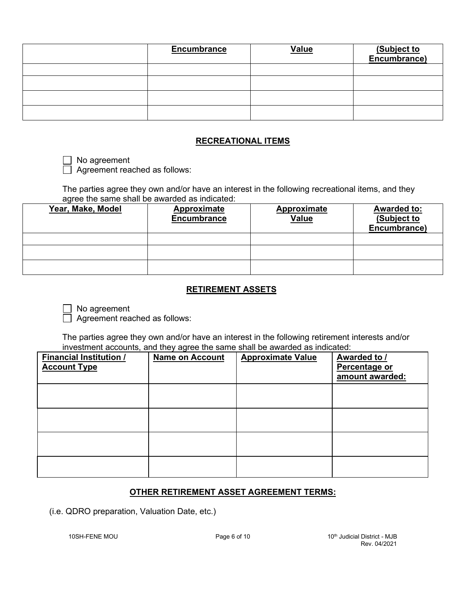| <b>Encumbrance</b> | <b>Value</b> | (Subject to<br>Encumbrance) |
|--------------------|--------------|-----------------------------|
|                    |              |                             |
|                    |              |                             |
|                    |              |                             |
|                    |              |                             |

### **RECREATIONAL ITEMS**

□ No agreement Agreement reached as follows:

The parties agree they own and/or have an interest in the following recreational items, and they agree the same shall be awarded as indicated:

| Year, Make, Model | Approximate<br><b>Encumbrance</b> | <b>Approximate</b><br><b>Value</b> | <b>Awarded to:</b><br>(Subject to<br>Encumbrance) |
|-------------------|-----------------------------------|------------------------------------|---------------------------------------------------|
|                   |                                   |                                    |                                                   |
|                   |                                   |                                    |                                                   |
|                   |                                   |                                    |                                                   |

#### **RETIREMENT ASSETS**

No agreement

Agreement reached as follows:

The parties agree they own and/or have an interest in the following retirement interests and/or investment accounts, and they agree the same shall be awarded as indicated:

| Financial Institution /<br><b>Account Type</b> | <b>Name on Account</b> | <b>Approximate Value</b> | Awarded to /<br>Percentage or<br>amount awarded: |
|------------------------------------------------|------------------------|--------------------------|--------------------------------------------------|
|                                                |                        |                          |                                                  |
|                                                |                        |                          |                                                  |
|                                                |                        |                          |                                                  |
|                                                |                        |                          |                                                  |

### **OTHER RETIREMENT ASSET AGREEMENT TERMS:**

(i.e. QDRO preparation, Valuation Date, etc.)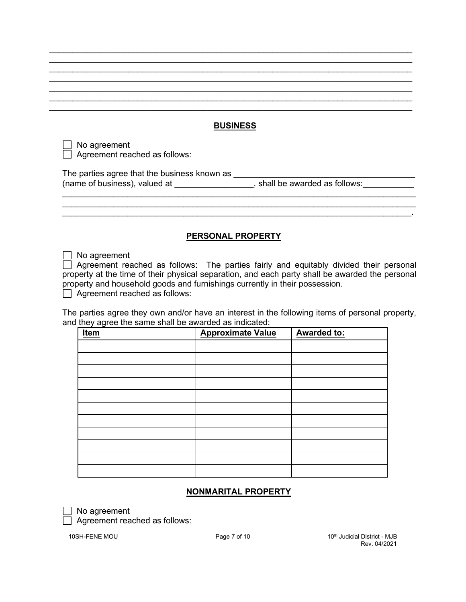### **BUSINESS**

\_\_\_\_\_\_\_\_\_\_\_\_\_\_\_\_\_\_\_\_\_\_\_\_\_\_\_\_\_\_\_\_\_\_\_\_\_\_\_\_\_\_\_\_\_\_\_\_\_\_\_\_\_\_\_\_\_\_\_\_\_\_\_\_\_\_\_\_\_\_\_\_\_\_\_\_\_\_

 $\_$  , and the set of the set of the set of the set of the set of the set of the set of the set of the set of the set of the set of the set of the set of the set of the set of the set of the set of the set of the set of th \_\_\_\_\_\_\_\_\_\_\_\_\_\_\_\_\_\_\_\_\_\_\_\_\_\_\_\_\_\_\_\_\_\_\_\_\_\_\_\_\_\_\_\_\_\_\_\_\_\_\_\_\_\_\_\_\_\_\_\_\_\_\_\_\_\_\_\_\_\_\_\_\_\_\_\_\_\_ \_\_\_\_\_\_\_\_\_\_\_\_\_\_\_\_\_\_\_\_\_\_\_\_\_\_\_\_\_\_\_\_\_\_\_\_\_\_\_\_\_\_\_\_\_\_\_\_\_\_\_\_\_\_\_\_\_\_\_\_\_\_\_\_\_\_\_\_\_\_\_\_\_\_\_\_\_\_  $\_$  , and the set of the set of the set of the set of the set of the set of the set of the set of the set of the set of the set of the set of the set of the set of the set of the set of the set of the set of the set of th \_\_\_\_\_\_\_\_\_\_\_\_\_\_\_\_\_\_\_\_\_\_\_\_\_\_\_\_\_\_\_\_\_\_\_\_\_\_\_\_\_\_\_\_\_\_\_\_\_\_\_\_\_\_\_\_\_\_\_\_\_\_\_\_\_\_\_\_\_\_\_\_\_\_\_\_\_\_

 $\Box$  No agreement Agreement reached as follows:

The parties agree that the business known as \_\_\_\_\_\_\_ (name of business), valued at \_\_\_\_\_\_\_\_\_\_\_\_\_\_\_\_\_, shall be awarded as follows:

### **PERSONAL PROPERTY**

\_\_\_\_\_\_\_\_\_\_\_\_\_\_\_\_\_\_\_\_\_\_\_\_\_\_\_\_\_\_\_\_\_\_\_\_\_\_\_\_\_\_\_\_\_\_\_\_\_\_\_\_\_\_\_\_\_\_\_\_\_\_\_\_\_\_\_\_\_\_\_\_\_\_\_\_ \_\_\_\_\_\_\_\_\_\_\_\_\_\_\_\_\_\_\_\_\_\_\_\_\_\_\_\_\_\_\_\_\_\_\_\_\_\_\_\_\_\_\_\_\_\_\_\_\_\_\_\_\_\_\_\_\_\_\_\_\_\_\_\_\_\_\_\_\_\_\_\_\_\_\_\_  $\_$  , and the set of the set of the set of the set of the set of the set of the set of the set of the set of the set of the set of the set of the set of the set of the set of the set of the set of the set of the set of th

No agreement

 $\Box$  Agreement reached as follows: The parties fairly and equitably divided their personal property at the time of their physical separation, and each party shall be awarded the personal property and household goods and furnishings currently in their possession.

 $\Box$  Agreement reached as follows:

The parties agree they own and/or have an interest in the following items of personal property, and they agree the same shall be awarded as indicated:

| <u>Item</u> | <b>Approximate Value</b> | <b>Awarded to:</b> |
|-------------|--------------------------|--------------------|
|             |                          |                    |
|             |                          |                    |
|             |                          |                    |
|             |                          |                    |
|             |                          |                    |
|             |                          |                    |
|             |                          |                    |
|             |                          |                    |
|             |                          |                    |
|             |                          |                    |
|             |                          |                    |

#### **NONMARITAL PROPERTY**

No agreement

Agreement reached as follows: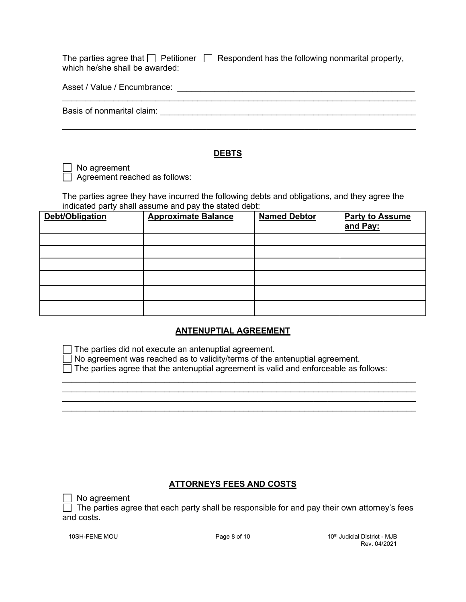|                                | The parties agree that $\Box$ Petitioner $\Box$ Respondent has the following nonmarital property, |
|--------------------------------|---------------------------------------------------------------------------------------------------|
| which he/she shall be awarded: |                                                                                                   |

\_\_\_\_\_\_\_\_\_\_\_\_\_\_\_\_\_\_\_\_\_\_\_\_\_\_\_\_\_\_\_\_\_\_\_\_\_\_\_\_\_\_\_\_\_\_\_\_\_\_\_\_\_\_\_\_\_\_\_\_\_\_\_\_\_\_\_\_\_\_\_\_\_\_\_\_

\_\_\_\_\_\_\_\_\_\_\_\_\_\_\_\_\_\_\_\_\_\_\_\_\_\_\_\_\_\_\_\_\_\_\_\_\_\_\_\_\_\_\_\_\_\_\_\_\_\_\_\_\_\_\_\_\_\_\_\_\_\_\_\_\_\_\_\_\_\_\_\_\_\_\_\_

Basis of nonmarital claim: \_\_\_\_\_\_\_\_\_\_\_\_\_\_\_\_\_\_\_\_\_\_\_\_\_\_\_\_\_\_\_\_\_\_\_\_\_\_\_\_\_\_\_\_\_\_\_\_\_\_\_\_\_\_\_

#### **DEBTS**

No agreement

Agreement reached as follows:

The parties agree they have incurred the following debts and obligations, and they agree the indicated party shall assume and pay the stated debt:

| Debt/Obligation | <b>Approximate Balance</b> | <b>Named Debtor</b> | <b>Party to Assume</b><br>and Pay: |
|-----------------|----------------------------|---------------------|------------------------------------|
|                 |                            |                     |                                    |
|                 |                            |                     |                                    |
|                 |                            |                     |                                    |
|                 |                            |                     |                                    |
|                 |                            |                     |                                    |
|                 |                            |                     |                                    |

### **ANTENUPTIAL AGREEMENT**

 $\Box$  The parties did not execute an antenuptial agreement.

 $\Box$  No agreement was reached as to validity/terms of the antenuptial agreement.

 $\Box$  The parties agree that the antenuptial agreement is valid and enforceable as follows:

\_\_\_\_\_\_\_\_\_\_\_\_\_\_\_\_\_\_\_\_\_\_\_\_\_\_\_\_\_\_\_\_\_\_\_\_\_\_\_\_\_\_\_\_\_\_\_\_\_\_\_\_\_\_\_\_\_\_\_\_\_\_\_\_\_\_\_\_\_\_\_\_\_\_\_\_ \_\_\_\_\_\_\_\_\_\_\_\_\_\_\_\_\_\_\_\_\_\_\_\_\_\_\_\_\_\_\_\_\_\_\_\_\_\_\_\_\_\_\_\_\_\_\_\_\_\_\_\_\_\_\_\_\_\_\_\_\_\_\_\_\_\_\_\_\_\_\_\_\_\_\_\_ \_\_\_\_\_\_\_\_\_\_\_\_\_\_\_\_\_\_\_\_\_\_\_\_\_\_\_\_\_\_\_\_\_\_\_\_\_\_\_\_\_\_\_\_\_\_\_\_\_\_\_\_\_\_\_\_\_\_\_\_\_\_\_\_\_\_\_\_\_\_\_\_\_\_\_\_ \_\_\_\_\_\_\_\_\_\_\_\_\_\_\_\_\_\_\_\_\_\_\_\_\_\_\_\_\_\_\_\_\_\_\_\_\_\_\_\_\_\_\_\_\_\_\_\_\_\_\_\_\_\_\_\_\_\_\_\_\_\_\_\_\_\_\_\_\_\_\_\_\_\_\_\_

### **ATTORNEYS FEES AND COSTS**

 $\Box$  No agreement

 $\Box$  The parties agree that each party shall be responsible for and pay their own attorney's fees and costs.

10SH-FENE MOU **Page 8 of 10** 10th Muslim and District - MJB 10th Judicial District - MJB Rev. 04/2021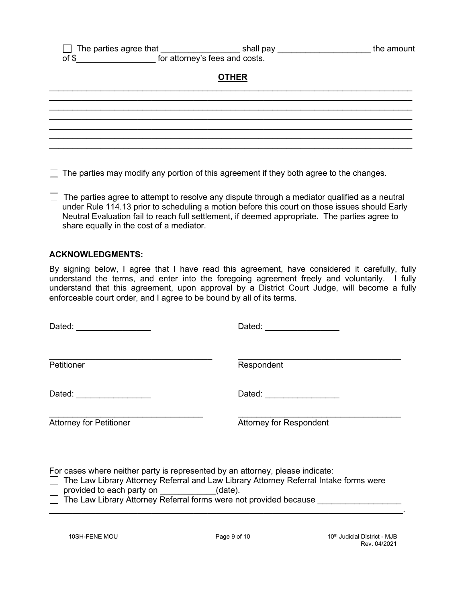#### $\Box$  The parties agree that \_\_\_\_\_\_\_\_\_\_\_\_\_\_\_\_\_\_\_\_\_\_\_shall pay \_\_\_\_\_\_\_\_\_\_\_\_\_\_\_\_\_\_\_\_\_\_\_\_\_\_\_\_\_\_the amount  $\overline{a}$  of \$  $\overline{b}$  for attorney's fees and costs.

## **OTHER**

|                                                                                                                       |  | the contract of the contract of the contract of |
|-----------------------------------------------------------------------------------------------------------------------|--|-------------------------------------------------|
|                                                                                                                       |  |                                                 |
|                                                                                                                       |  |                                                 |
|                                                                                                                       |  |                                                 |
|                                                                                                                       |  |                                                 |
| <u> 1988 - Jan Samuel Barn, margaret amerikan basar dan berasal dalam berasal dalam berasal dalam berasal dalam b</u> |  |                                                 |
|                                                                                                                       |  |                                                 |

 $\Box$  The parties may modify any portion of this agreement if they both agree to the changes.

The parties agree to attempt to resolve any dispute through a mediator qualified as a neutral under Rule 114.13 prior to scheduling a motion before this court on those issues should Early Neutral Evaluation fail to reach full settlement, if deemed appropriate. The parties agree to share equally in the cost of a mediator.

#### **ACKNOWLEDGMENTS:**

By signing below, I agree that I have read this agreement, have considered it carefully, fully understand the terms, and enter into the foregoing agreement freely and voluntarily. I fully understand that this agreement, upon approval by a District Court Judge, will become a fully enforceable court order, and I agree to be bound by all of its terms.

| Dated: __________________                                                                                                                                                                                                                                                          | Dated: ________________        |  |  |  |  |
|------------------------------------------------------------------------------------------------------------------------------------------------------------------------------------------------------------------------------------------------------------------------------------|--------------------------------|--|--|--|--|
| <b>Petitioner</b>                                                                                                                                                                                                                                                                  | Respondent                     |  |  |  |  |
| Dated: <u>__________</u>                                                                                                                                                                                                                                                           | Dated: _______________         |  |  |  |  |
| <b>Attorney for Petitioner</b>                                                                                                                                                                                                                                                     | <b>Attorney for Respondent</b> |  |  |  |  |
| For cases where neither party is represented by an attorney, please indicate:<br>The Law Library Attorney Referral and Law Library Attorney Referral Intake forms were<br>provided to each party on (date).<br>□ The Law Library Attorney Referral forms were not provided because |                                |  |  |  |  |